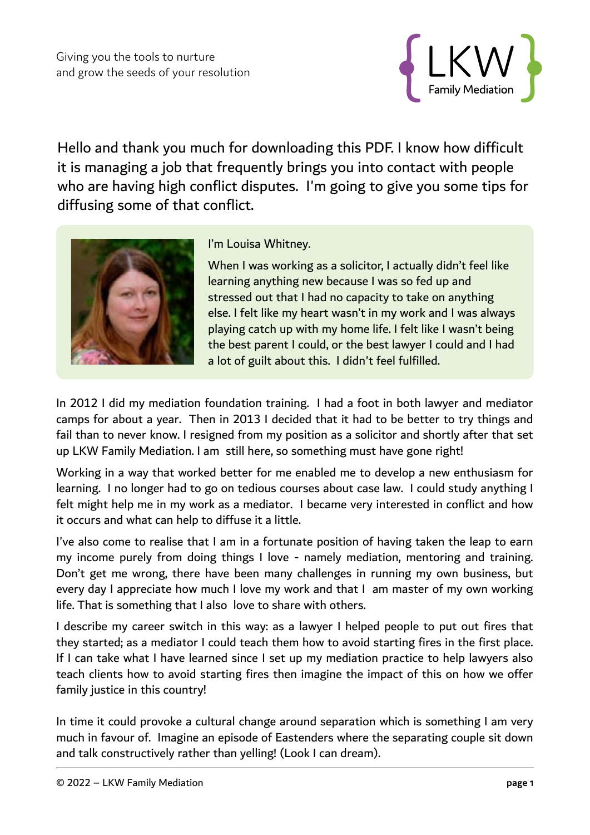

Hello and thank you much for downloading this PDF. I know how difficult it is managing a job that frequently brings you into contact with people who are having high conflict disputes. I'm going to give you some tips for diffusing some of that conflict.



I'm Louisa Whitney.

When I was working as a solicitor, I actually didn't feel like learning anything new because I was so fed up and stressed out that I had no capacity to take on anything else. I felt like my heart wasn't in my work and I was always playing catch up with my home life. I felt like I wasn't being the best parent I could, or the best lawyer I could and I had a lot of guilt about this. I didn't feel fulfilled.

In 2012 I did my mediation foundation training. I had a foot in both lawyer and mediator camps for about a year. Then in 2013 I decided that it had to be better to try things and fail than to never know. I resigned from my position as a solicitor and shortly after that set up LKW Family Mediation. I am still here, so something must have gone right!

Working in a way that worked better for me enabled me to develop a new enthusiasm for learning. I no longer had to go on tedious courses about case law. I could study anything I felt might help me in my work as a mediator. I became very interested in conflict and how it occurs and what can help to diffuse it a little.

I've also come to realise that I am in a fortunate position of having taken the leap to earn my income purely from doing things I love - namely mediation, mentoring and training. Don't get me wrong, there have been many challenges in running my own business, but every day I appreciate how much I love my work and that I am master of my own working life. That is something that I also love to share with others.

I describe my career switch in this way: as a lawyer I helped people to put out fires that they started; as a mediator I could teach them how to avoid starting fires in the first place. If I can take what I have learned since I set up my mediation practice to help lawyers also teach clients how to avoid starting fires then imagine the impact of this on how we offer family justice in this country!

In time it could provoke a cultural change around separation which is something I am very much in favour of. Imagine an episode of Eastenders where the separating couple sit down and talk constructively rather than yelling! (Look I can dream).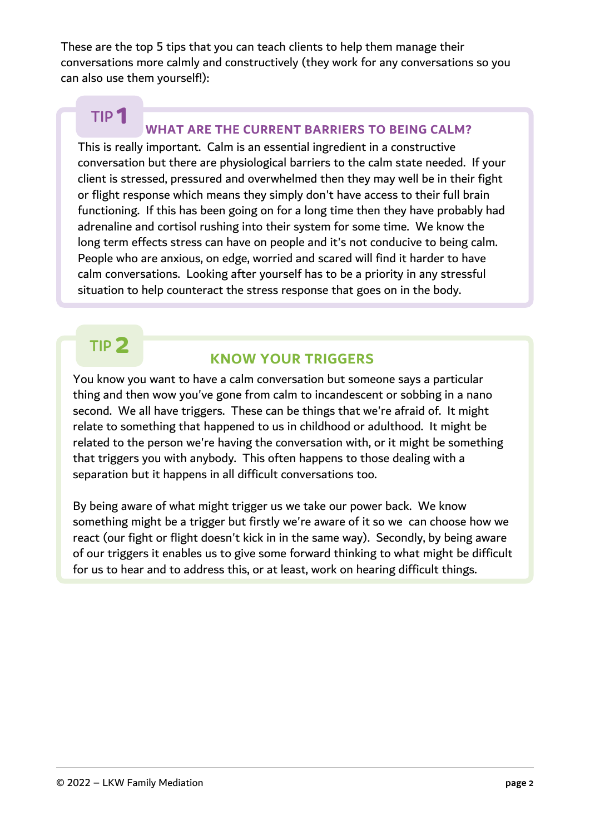These are the top 5 tips that you can teach clients to help them manage their conversations more calmly and constructively (they work for any conversations so you can also use them yourself!):

# **TIP 1**

### **WHAT ARE THE CURRENT BARRIERS TO BEING CALM?**

This is really important. Calm is an essential ingredient in a constructive conversation but there are physiological barriers to the calm state needed. If your client is stressed, pressured and overwhelmed then they may well be in their fight or flight response which means they simply don't have access to their full brain functioning. If this has been going on for a long time then they have probably had adrenaline and cortisol rushing into their system for some time. We know the long term effects stress can have on people and it's not conducive to being calm. People who are anxious, on edge, worried and scared will find it harder to have calm conversations. Looking after yourself has to be a priority in any stressful situation to help counteract the stress response that goes on in the body.

## **TIP 2**

### **KNOW YOUR TRIGGERS**

You know you want to have a calm conversation but someone says a particular thing and then wow you've gone from calm to incandescent or sobbing in a nano second. We all have triggers. These can be things that we're afraid of. It might relate to something that happened to us in childhood or adulthood. It might be related to the person we're having the conversation with, or it might be something that triggers you with anybody. This often happens to those dealing with a separation but it happens in all difficult conversations too.

By being aware of what might trigger us we take our power back. We know something might be a trigger but firstly we're aware of it so we can choose how we react (our fight or flight doesn't kick in in the same way). Secondly, by being aware of our triggers it enables us to give some forward thinking to what might be difficult for us to hear and to address this, or at least, work on hearing difficult things.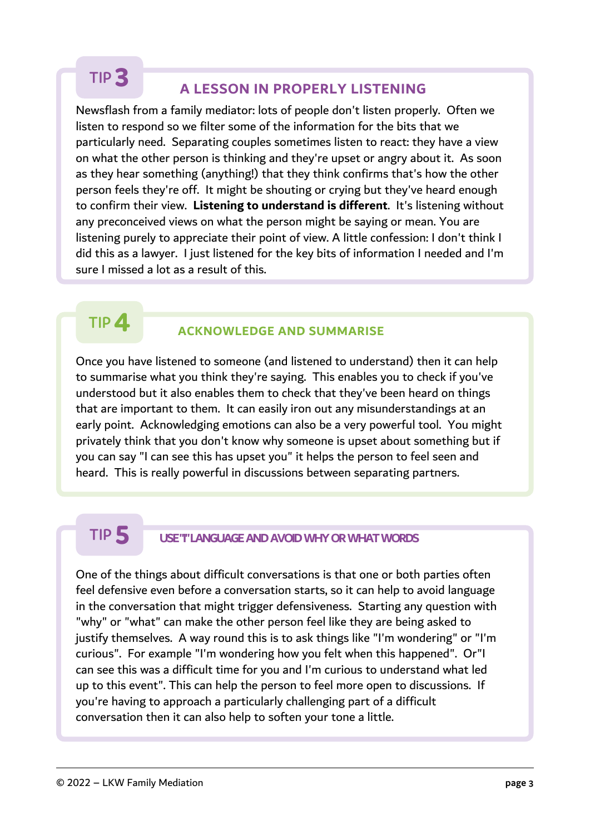# **TIP 3**

### **A LESSON IN PROPERLY LISTENING**

Newsflash from a family mediator: lots of people don't listen properly. Often we listen to respond so we filter some of the information for the bits that we particularly need. Separating couples sometimes listen to react: they have a view on what the other person is thinking and they're upset or angry about it. As soon as they hear something (anything!) that they think confirms that's how the other person feels they're off. It might be shouting or crying but they've heard enough to confirm their view. **Listening to understand is different**. It's listening without any preconceived views on what the person might be saying or mean. You are listening purely to appreciate their point of view. A little confession: I don't think I did this as a lawyer. I just listened for the key bits of information I needed and I'm sure I missed a lot as a result of this.

## **TIP 4**

#### **ACKNOWLEDGE AND SUMMARISE**

Once you have listened to someone (and listened to understand) then it can help to summarise what you think they're saying. This enables you to check if you've understood but it also enables them to check that they've been heard on things that are important to them. It can easily iron out any misunderstandings at an early point. Acknowledging emotions can also be a very powerful tool. You might privately think that you don't know why someone is upset about something but if you can say "I can see this has upset you" it helps the person to feel seen and heard. This is really powerful in discussions between separating partners.

## **TIP 5**

#### **USE "I" LANGUAGE AND AVOID WHY OR WHAT WORDS**

One of the things about difficult conversations is that one or both parties often feel defensive even before a conversation starts, so it can help to avoid language in the conversation that might trigger defensiveness. Starting any question with "why" or "what" can make the other person feel like they are being asked to justify themselves. A way round this is to ask things like "I'm wondering" or "I'm curious". For example "I'm wondering how you felt when this happened". Or"I can see this was a difficult time for you and I'm curious to understand what led up to this event". This can help the person to feel more open to discussions. If you're having to approach a particularly challenging part of a difficult conversation then it can also help to soften your tone a little.